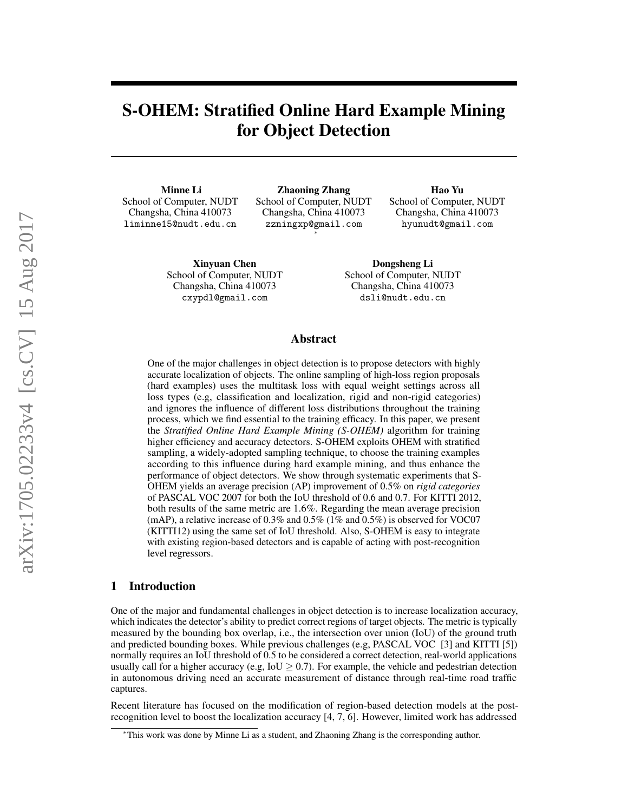# S-OHEM: Stratified Online Hard Example Mining for Object Detection

Minne Li School of Computer, NUDT Changsha, China 410073 liminne15@nudt.edu.cn

Zhaoning Zhang School of Computer, NUDT Changsha, China 410073 zzningxp@gmail.com ∗

Hao Yu School of Computer, NUDT Changsha, China 410073 hyunudt@gmail.com

Xinyuan Chen School of Computer, NUDT Changsha, China 410073 cxypdl@gmail.com

Dongsheng Li School of Computer, NUDT Changsha, China 410073 dsli@nudt.edu.cn

# Abstract

One of the major challenges in object detection is to propose detectors with highly accurate localization of objects. The online sampling of high-loss region proposals (hard examples) uses the multitask loss with equal weight settings across all loss types (e.g, classification and localization, rigid and non-rigid categories) and ignores the influence of different loss distributions throughout the training process, which we find essential to the training efficacy. In this paper, we present the *Stratified Online Hard Example Mining (S-OHEM)* algorithm for training higher efficiency and accuracy detectors. S-OHEM exploits OHEM with stratified sampling, a widely-adopted sampling technique, to choose the training examples according to this influence during hard example mining, and thus enhance the performance of object detectors. We show through systematic experiments that S-OHEM yields an average precision (AP) improvement of 0.5% on *rigid categories* of PASCAL VOC 2007 for both the IoU threshold of 0.6 and 0.7. For KITTI 2012, both results of the same metric are 1.6%. Regarding the mean average precision (mAP), a relative increase of 0.3% and 0.5% (1% and 0.5%) is observed for VOC07 (KITTI12) using the same set of IoU threshold. Also, S-OHEM is easy to integrate with existing region-based detectors and is capable of acting with post-recognition level regressors.

# 1 Introduction

One of the major and fundamental challenges in object detection is to increase localization accuracy, which indicates the detector's ability to predict correct regions of target objects. The metric is typically measured by the bounding box overlap, i.e., the intersection over union (IoU) of the ground truth and predicted bounding boxes. While previous challenges (e.g, PASCAL VOC [\[3\]](#page-7-0) and KITTI [\[5\]](#page-7-1)) normally requires an IoU threshold of 0.5 to be considered a correct detection, real-world applications usually call for a higher accuracy (e.g,  $IoU \ge 0.7$ ). For example, the vehicle and pedestrian detection in autonomous driving need an accurate measurement of distance through real-time road traffic captures.

Recent literature has focused on the modification of region-based detection models at the postrecognition level to boost the localization accuracy [\[4,](#page-7-2) [7,](#page-7-3) [6\]](#page-7-4). However, limited work has addressed

<sup>∗</sup>This work was done by Minne Li as a student, and Zhaoning Zhang is the corresponding author.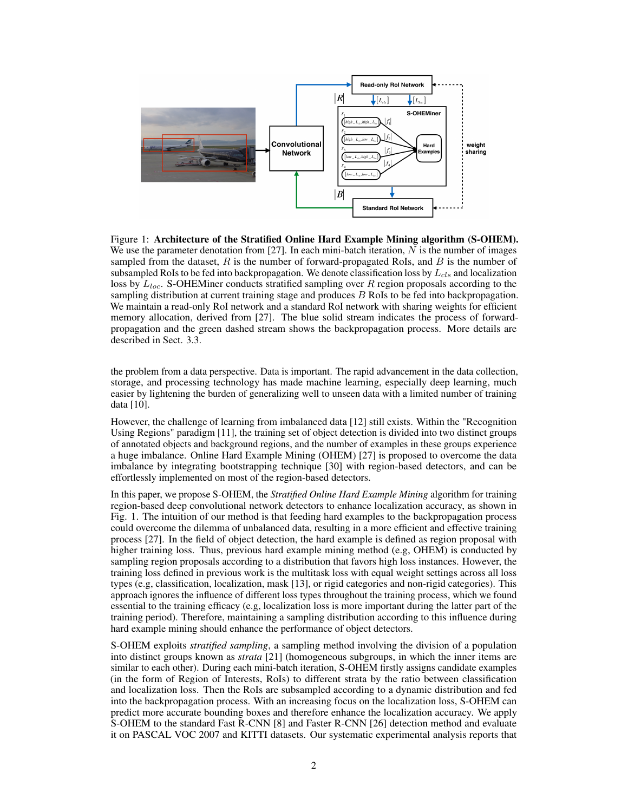

Figure 1: Architecture of the Stratified Online Hard Example Mining algorithm (S-OHEM). We use the parameter denotation from  $[27]$ . In each mini-batch iteration, N is the number of images sampled from the dataset,  $R$  is the number of forward-propagated RoIs, and  $B$  is the number of subsampled RoIs to be fed into backpropagation. We denote classification loss by  $L_{cls}$  and localization loss by  $L_{loc}$ . S-OHEMiner conducts stratified sampling over R region proposals according to the sampling distribution at current training stage and produces B RoIs to be fed into backpropagation. We maintain a read-only RoI network and a standard RoI network with sharing weights for efficient memory allocation, derived from [\[27\]](#page-8-0). The blue solid stream indicates the process of forwardpropagation and the green dashed stream shows the backpropagation process. More details are described in Sect. 3.3.

the problem from a data perspective. Data is important. The rapid advancement in the data collection, storage, and processing technology has made machine learning, especially deep learning, much easier by lightening the burden of generalizing well to unseen data with a limited number of training data [\[10\]](#page-7-5).

However, the challenge of learning from imbalanced data [\[12\]](#page-7-6) still exists. Within the "Recognition Using Regions" paradigm [\[11\]](#page-7-7), the training set of object detection is divided into two distinct groups of annotated objects and background regions, and the number of examples in these groups experience a huge imbalance. Online Hard Example Mining (OHEM) [\[27\]](#page-8-0) is proposed to overcome the data imbalance by integrating bootstrapping technique [\[30\]](#page-8-1) with region-based detectors, and can be effortlessly implemented on most of the region-based detectors.

In this paper, we propose S-OHEM, the *Stratified Online Hard Example Mining* algorithm for training region-based deep convolutional network detectors to enhance localization accuracy, as shown in Fig. 1. The intuition of our method is that feeding hard examples to the backpropagation process could overcome the dilemma of unbalanced data, resulting in a more efficient and effective training process [\[27\]](#page-8-0). In the field of object detection, the hard example is defined as region proposal with higher training loss. Thus, previous hard example mining method (e.g, OHEM) is conducted by sampling region proposals according to a distribution that favors high loss instances. However, the training loss defined in previous work is the multitask loss with equal weight settings across all loss types (e.g, classification, localization, mask [\[13\]](#page-7-8), or rigid categories and non-rigid categories). This approach ignores the influence of different loss types throughout the training process, which we found essential to the training efficacy (e.g, localization loss is more important during the latter part of the training period). Therefore, maintaining a sampling distribution according to this influence during hard example mining should enhance the performance of object detectors.

S-OHEM exploits *stratified sampling*, a sampling method involving the division of a population into distinct groups known as *strata* [\[21\]](#page-7-9) (homogeneous subgroups, in which the inner items are similar to each other). During each mini-batch iteration, S-OHEM firstly assigns candidate examples (in the form of Region of Interests, RoIs) to different strata by the ratio between classification and localization loss. Then the RoIs are subsampled according to a dynamic distribution and fed into the backpropagation process. With an increasing focus on the localization loss, S-OHEM can predict more accurate bounding boxes and therefore enhance the localization accuracy. We apply S-OHEM to the standard Fast R-CNN [\[8\]](#page-7-10) and Faster R-CNN [\[26\]](#page-8-2) detection method and evaluate it on PASCAL VOC 2007 and KITTI datasets. Our systematic experimental analysis reports that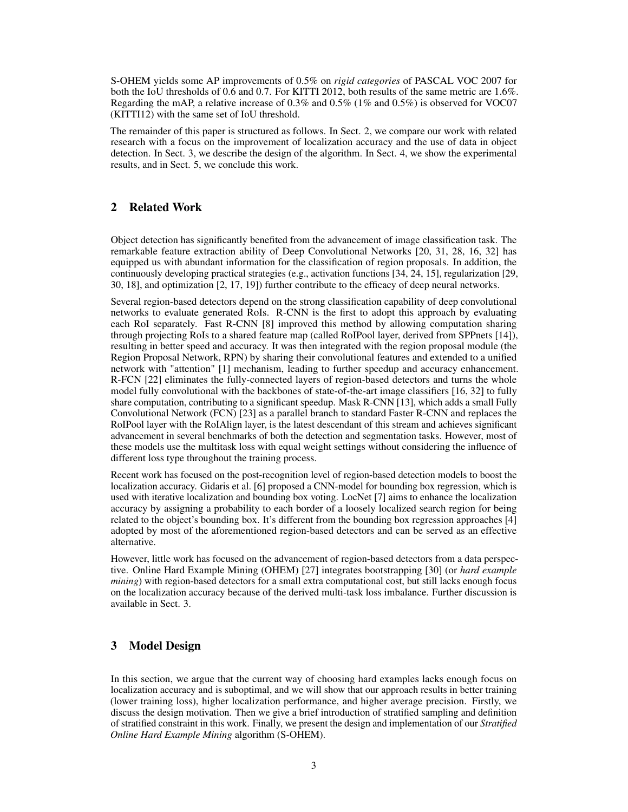S-OHEM yields some AP improvements of 0.5% on *rigid categories* of PASCAL VOC 2007 for both the IoU thresholds of 0.6 and 0.7. For KITTI 2012, both results of the same metric are 1.6%. Regarding the mAP, a relative increase of 0.3% and 0.5% (1% and 0.5%) is observed for VOC07 (KITTI12) with the same set of IoU threshold.

The remainder of this paper is structured as follows. In Sect. 2, we compare our work with related research with a focus on the improvement of localization accuracy and the use of data in object detection. In Sect. 3, we describe the design of the algorithm. In Sect. 4, we show the experimental results, and in Sect. 5, we conclude this work.

# 2 Related Work

Object detection has significantly benefited from the advancement of image classification task. The remarkable feature extraction ability of Deep Convolutional Networks [\[20,](#page-7-11) [31,](#page-8-3) [28,](#page-8-4) [16,](#page-7-12) [32\]](#page-8-5) has equipped us with abundant information for the classification of region proposals. In addition, the continuously developing practical strategies (e.g., activation functions [\[34,](#page-8-6) [24,](#page-7-13) [15\]](#page-7-14), regularization [\[29,](#page-8-7) [30,](#page-8-1) [18\]](#page-7-15), and optimization [\[2,](#page-7-16) [17,](#page-7-17) [19\]](#page-7-18)) further contribute to the efficacy of deep neural networks.

Several region-based detectors depend on the strong classification capability of deep convolutional networks to evaluate generated RoIs. R-CNN is the first to adopt this approach by evaluating each RoI separately. Fast R-CNN [\[8\]](#page-7-10) improved this method by allowing computation sharing through projecting RoIs to a shared feature map (called RoIPool layer, derived from SPPnets [\[14\]](#page-7-19)), resulting in better speed and accuracy. It was then integrated with the region proposal module (the Region Proposal Network, RPN) by sharing their convolutional features and extended to a unified network with "attention" [\[1\]](#page-7-20) mechanism, leading to further speedup and accuracy enhancement. R-FCN [\[22\]](#page-7-21) eliminates the fully-connected layers of region-based detectors and turns the whole model fully convolutional with the backbones of state-of-the-art image classifiers [\[16,](#page-7-12) [32\]](#page-8-5) to fully share computation, contributing to a significant speedup. Mask R-CNN [\[13\]](#page-7-8), which adds a small Fully Convolutional Network (FCN) [\[23\]](#page-7-22) as a parallel branch to standard Faster R-CNN and replaces the RoIPool layer with the RoIAlign layer, is the latest descendant of this stream and achieves significant advancement in several benchmarks of both the detection and segmentation tasks. However, most of these models use the multitask loss with equal weight settings without considering the influence of different loss type throughout the training process.

Recent work has focused on the post-recognition level of region-based detection models to boost the localization accuracy. Gidaris et al. [\[6\]](#page-7-4) proposed a CNN-model for bounding box regression, which is used with iterative localization and bounding box voting. LocNet [\[7\]](#page-7-3) aims to enhance the localization accuracy by assigning a probability to each border of a loosely localized search region for being related to the object's bounding box. It's different from the bounding box regression approaches [\[4\]](#page-7-2) adopted by most of the aforementioned region-based detectors and can be served as an effective alternative.

However, little work has focused on the advancement of region-based detectors from a data perspective. Online Hard Example Mining (OHEM) [\[27\]](#page-8-0) integrates bootstrapping [\[30\]](#page-8-1) (or *hard example mining*) with region-based detectors for a small extra computational cost, but still lacks enough focus on the localization accuracy because of the derived multi-task loss imbalance. Further discussion is available in Sect. 3.

# 3 Model Design

In this section, we argue that the current way of choosing hard examples lacks enough focus on localization accuracy and is suboptimal, and we will show that our approach results in better training (lower training loss), higher localization performance, and higher average precision. Firstly, we discuss the design motivation. Then we give a brief introduction of stratified sampling and definition of stratified constraint in this work. Finally, we present the design and implementation of our *Stratified Online Hard Example Mining* algorithm (S-OHEM).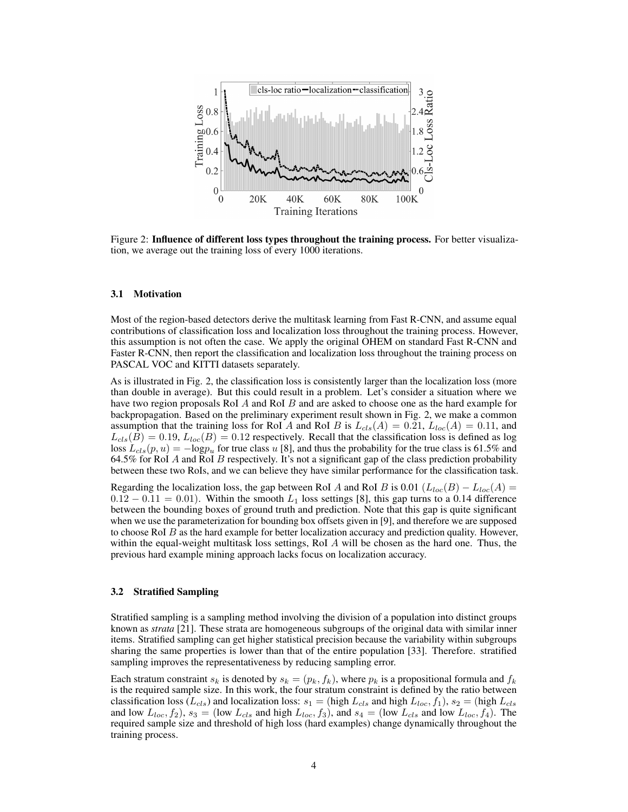

Figure 2: Influence of different loss types throughout the training process. For better visualization, we average out the training loss of every 1000 iterations.

#### 3.1 Motivation

Most of the region-based detectors derive the multitask learning from Fast R-CNN, and assume equal contributions of classification loss and localization loss throughout the training process. However, this assumption is not often the case. We apply the original OHEM on standard Fast R-CNN and Faster R-CNN, then report the classification and localization loss throughout the training process on PASCAL VOC and KITTI datasets separately.

As is illustrated in Fig. 2, the classification loss is consistently larger than the localization loss (more than double in average). But this could result in a problem. Let's consider a situation where we have two region proposals RoI A and RoI B and are asked to choose one as the hard example for backpropagation. Based on the preliminary experiment result shown in Fig. 2, we make a common assumption that the training loss for RoI A and RoI B is  $L_{cls}(A) = 0.21$ ,  $L_{loc}(A) = 0.11$ , and  $L_{cls}(B) = 0.19$ ,  $L_{loc}(B) = 0.12$  respectively. Recall that the classification loss is defined as log loss  $L_{cls}(p, u) = -logp_u$  for true class u [\[8\]](#page-7-10), and thus the probability for the true class is 61.5% and 64.5% for RoI A and RoI B respectively. It's not a significant gap of the class prediction probability between these two RoIs, and we can believe they have similar performance for the classification task.

Regarding the localization loss, the gap between RoI A and RoI B is 0.01 ( $L_{loc}(B) - L_{loc}(A) =$  $0.12 - 0.11 = 0.01$ . Within the smooth  $L_1$  loss settings [\[8\]](#page-7-10), this gap turns to a 0.14 difference between the bounding boxes of ground truth and prediction. Note that this gap is quite significant when we use the parameterization for bounding box offsets given in [\[9\]](#page-7-23), and therefore we are supposed to choose RoI  $B$  as the hard example for better localization accuracy and prediction quality. However, within the equal-weight multitask loss settings, RoI  $\Lambda$  will be chosen as the hard one. Thus, the previous hard example mining approach lacks focus on localization accuracy.

### 3.2 Stratified Sampling

Stratified sampling is a sampling method involving the division of a population into distinct groups known as *strata* [\[21\]](#page-7-9). These strata are homogeneous subgroups of the original data with similar inner items. Stratified sampling can get higher statistical precision because the variability within subgroups sharing the same properties is lower than that of the entire population [\[33\]](#page-8-8). Therefore. stratified sampling improves the representativeness by reducing sampling error.

Each stratum constraint  $s_k$  is denoted by  $s_k = (p_k, f_k)$ , where  $p_k$  is a propositional formula and  $f_k$ is the required sample size. In this work, the four stratum constraint is defined by the ratio between classification loss ( $L_{cls}$ ) and localization loss:  $s_1 =$  (high  $L_{cls}$  and high  $L_{loc}$ ,  $f_1$ ),  $s_2 =$  (high  $L_{cls}$ and low  $L_{loc}, f_2$ ,  $s_3 = (\text{low } L_{cls} \text{ and high } L_{loc}, f_3)$ , and  $s_4 = (\text{low } L_{cls} \text{ and low } L_{loc}, f_4)$ . The required sample size and threshold of high loss (hard examples) change dynamically throughout the training process.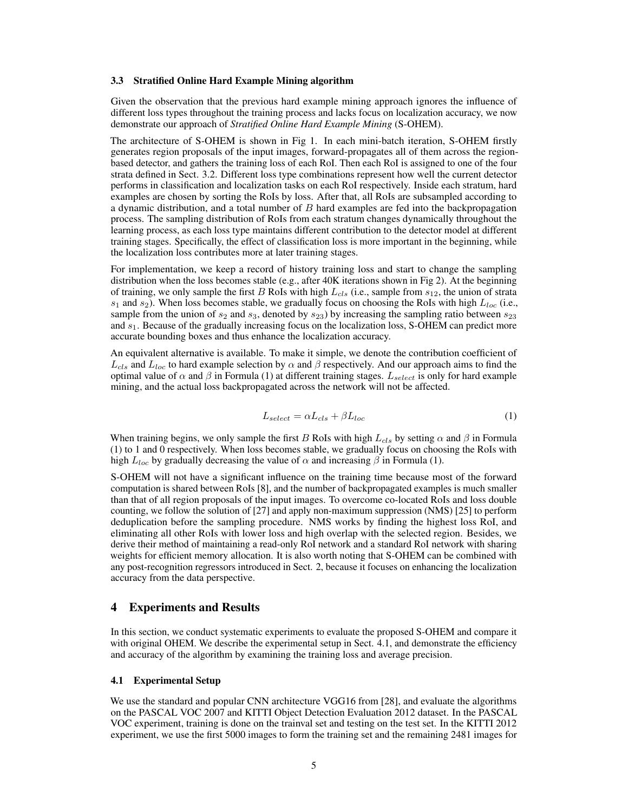#### 3.3 Stratified Online Hard Example Mining algorithm

Given the observation that the previous hard example mining approach ignores the influence of different loss types throughout the training process and lacks focus on localization accuracy, we now demonstrate our approach of *Stratified Online Hard Example Mining* (S-OHEM).

The architecture of S-OHEM is shown in Fig 1. In each mini-batch iteration, S-OHEM firstly generates region proposals of the input images, forward-propagates all of them across the regionbased detector, and gathers the training loss of each RoI. Then each RoI is assigned to one of the four strata defined in Sect. 3.2. Different loss type combinations represent how well the current detector performs in classification and localization tasks on each RoI respectively. Inside each stratum, hard examples are chosen by sorting the RoIs by loss. After that, all RoIs are subsampled according to a dynamic distribution, and a total number of  $B$  hard examples are fed into the backpropagation process. The sampling distribution of RoIs from each stratum changes dynamically throughout the learning process, as each loss type maintains different contribution to the detector model at different training stages. Specifically, the effect of classification loss is more important in the beginning, while the localization loss contributes more at later training stages.

For implementation, we keep a record of history training loss and start to change the sampling distribution when the loss becomes stable (e.g., after 40K iterations shown in Fig 2). At the beginning of training, we only sample the first B RoIs with high  $L_{cls}$  (i.e., sample from  $s_{12}$ , the union of strata  $s_1$  and  $s_2$ ). When loss becomes stable, we gradually focus on choosing the RoIs with high  $L_{loc}$  (i.e., sample from the union of  $s_2$  and  $s_3$ , denoted by  $s_{23}$ ) by increasing the sampling ratio between  $s_{23}$ and  $s<sub>1</sub>$ . Because of the gradually increasing focus on the localization loss, S-OHEM can predict more accurate bounding boxes and thus enhance the localization accuracy.

An equivalent alternative is available. To make it simple, we denote the contribution coefficient of  $L_{cls}$  and  $L_{loc}$  to hard example selection by  $\alpha$  and  $\beta$  respectively. And our approach aims to find the optimal value of  $\alpha$  and  $\beta$  in Formula (1) at different training stages.  $L_{select}$  is only for hard example mining, and the actual loss backpropagated across the network will not be affected.

$$
L_{select} = \alpha L_{cls} + \beta L_{loc}
$$
 (1)

When training begins, we only sample the first B RoIs with high  $L_{cls}$  by setting  $\alpha$  and  $\beta$  in Formula (1) to 1 and 0 respectively. When loss becomes stable, we gradually focus on choosing the RoIs with high  $L_{loc}$  by gradually decreasing the value of  $\alpha$  and increasing  $\beta$  in Formula (1).

S-OHEM will not have a significant influence on the training time because most of the forward computation is shared between RoIs [\[8\]](#page-7-10), and the number of backpropagated examples is much smaller than that of all region proposals of the input images. To overcome co-located RoIs and loss double counting, we follow the solution of [\[27\]](#page-8-0) and apply non-maximum suppression (NMS) [\[25\]](#page-7-24) to perform deduplication before the sampling procedure. NMS works by finding the highest loss RoI, and eliminating all other RoIs with lower loss and high overlap with the selected region. Besides, we derive their method of maintaining a read-only RoI network and a standard RoI network with sharing weights for efficient memory allocation. It is also worth noting that S-OHEM can be combined with any post-recognition regressors introduced in Sect. 2, because it focuses on enhancing the localization accuracy from the data perspective.

### 4 Experiments and Results

In this section, we conduct systematic experiments to evaluate the proposed S-OHEM and compare it with original OHEM. We describe the experimental setup in Sect. 4.1, and demonstrate the efficiency and accuracy of the algorithm by examining the training loss and average precision.

#### 4.1 Experimental Setup

We use the standard and popular CNN architecture VGG16 from [\[28\]](#page-8-4), and evaluate the algorithms on the PASCAL VOC 2007 and KITTI Object Detection Evaluation 2012 dataset. In the PASCAL VOC experiment, training is done on the trainval set and testing on the test set. In the KITTI 2012 experiment, we use the first 5000 images to form the training set and the remaining 2481 images for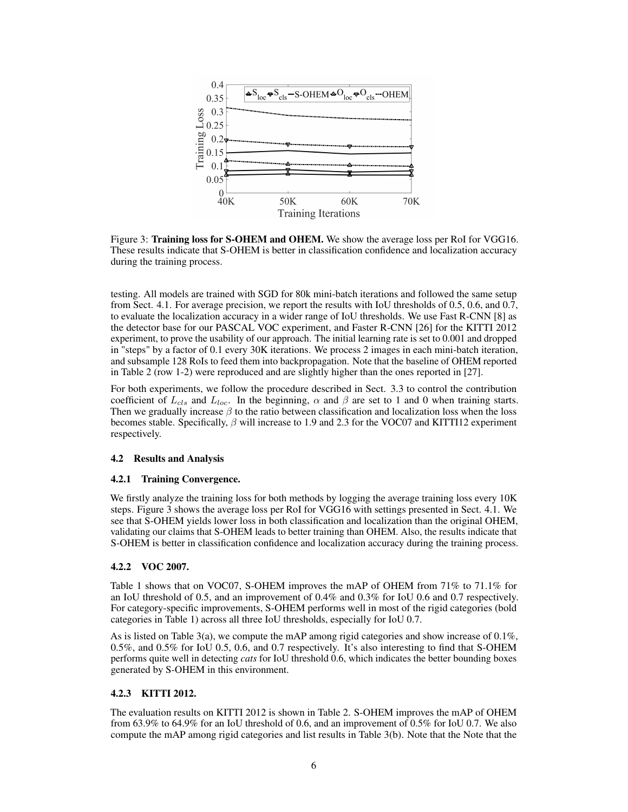

Figure 3: Training loss for S-OHEM and OHEM. We show the average loss per RoI for VGG16. These results indicate that S-OHEM is better in classification confidence and localization accuracy during the training process.

testing. All models are trained with SGD for 80k mini-batch iterations and followed the same setup from Sect. 4.1. For average precision, we report the results with IoU thresholds of 0.5, 0.6, and 0.7, to evaluate the localization accuracy in a wider range of IoU thresholds. We use Fast R-CNN [\[8\]](#page-7-10) as the detector base for our PASCAL VOC experiment, and Faster R-CNN [\[26\]](#page-8-2) for the KITTI 2012 experiment, to prove the usability of our approach. The initial learning rate is set to 0.001 and dropped in "steps" by a factor of 0.1 every 30K iterations. We process 2 images in each mini-batch iteration, and subsample 128 RoIs to feed them into backpropagation. Note that the baseline of OHEM reported in Table 2 (row 1-2) were reproduced and are slightly higher than the ones reported in [\[27\]](#page-8-0).

For both experiments, we follow the procedure described in Sect. 3.3 to control the contribution coefficient of  $L_{cls}$  and  $L_{loc}$ . In the beginning,  $\alpha$  and  $\beta$  are set to 1 and 0 when training starts. Then we gradually increase  $\beta$  to the ratio between classification and localization loss when the loss becomes stable. Specifically,  $\beta$  will increase to 1.9 and 2.3 for the VOC07 and KITTI12 experiment respectively.

# 4.2 Results and Analysis

### 4.2.1 Training Convergence.

We firstly analyze the training loss for both methods by logging the average training loss every 10K steps. Figure 3 shows the average loss per RoI for VGG16 with settings presented in Sect. 4.1. We see that S-OHEM yields lower loss in both classification and localization than the original OHEM, validating our claims that S-OHEM leads to better training than OHEM. Also, the results indicate that S-OHEM is better in classification confidence and localization accuracy during the training process.

### 4.2.2 VOC 2007.

Table 1 shows that on VOC07, S-OHEM improves the mAP of OHEM from 71% to 71.1% for an IoU threshold of 0.5, and an improvement of 0.4% and 0.3% for IoU 0.6 and 0.7 respectively. For category-specific improvements, S-OHEM performs well in most of the rigid categories (bold categories in Table 1) across all three IoU thresholds, especially for IoU 0.7.

As is listed on Table 3(a), we compute the mAP among rigid categories and show increase of 0.1%, 0.5%, and 0.5% for IoU 0.5, 0.6, and 0.7 respectively. It's also interesting to find that S-OHEM performs quite well in detecting *cats* for IoU threshold 0.6, which indicates the better bounding boxes generated by S-OHEM in this environment.

# 4.2.3 KITTI 2012.

The evaluation results on KITTI 2012 is shown in Table 2. S-OHEM improves the mAP of OHEM from 63.9% to 64.9% for an IoU threshold of 0.6, and an improvement of 0.5% for IoU 0.7. We also compute the mAP among rigid categories and list results in Table 3(b). Note that the Note that the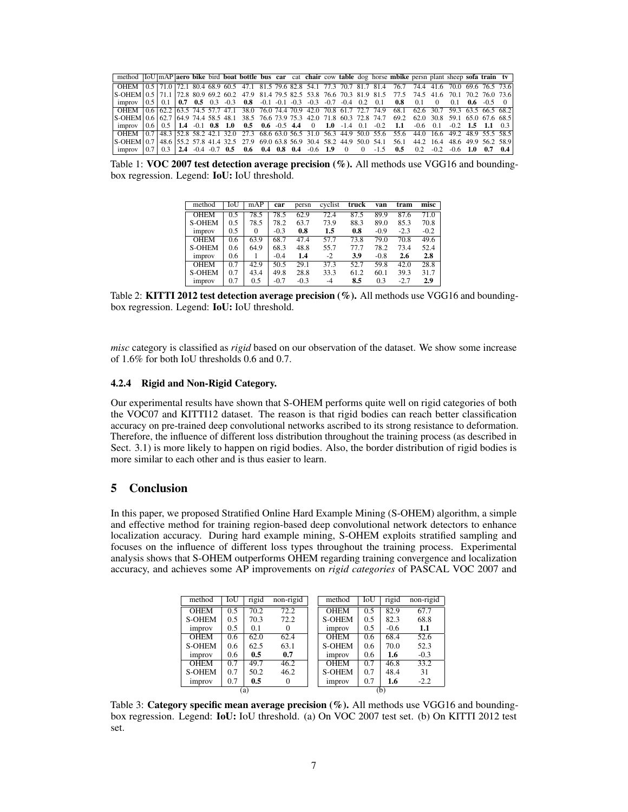| method loU mAP aero bike bird boat bottle bus car cat chair cow table dog horse mbike persn plant sheep sofa train tv   |                                                      |  |  |                                                                                                                                  |  |  |  |  |                                                                                                                             |            |          |            |                    |  |
|-------------------------------------------------------------------------------------------------------------------------|------------------------------------------------------|--|--|----------------------------------------------------------------------------------------------------------------------------------|--|--|--|--|-----------------------------------------------------------------------------------------------------------------------------|------------|----------|------------|--------------------|--|
| OHEM 1                                                                                                                  |                                                      |  |  |                                                                                                                                  |  |  |  |  | $\left[0.5\right]$ 71.0 72.1 80.4 68.9 60.5 47.1 81.5 79.6 82.8 54.1 77.3 70.7 81.7 81.4 76.7 74.4 41.6 70.0 69.6 76.5 73.6 |            |          |            |                    |  |
| S-OHEM 0.5 71.1 72.8 80.9 69.2 60.2 47.9 81.4 79.5 82.5 53.8 76.6 70.3 81.9 81.5 77.5 74.5 41.6 70.1 70.2 76.0 73.6     |                                                      |  |  |                                                                                                                                  |  |  |  |  |                                                                                                                             |            |          |            |                    |  |
| improv                                                                                                                  |                                                      |  |  | $\begin{bmatrix} 0.5 & 0.1 & 0.7 & 0.5 & 0.3 & -0.3 & 0.8 & -0.1 & -0.1 & -0.3 & -0.3 & -0.7 & -0.4 & 0.2 & 0.1 \end{bmatrix}$   |  |  |  |  | 0.8                                                                                                                         | 0.1        | $\Omega$ | 0.1        | $0.6 - 0.5 = 0$    |  |
| OHEM                                                                                                                    |                                                      |  |  |                                                                                                                                  |  |  |  |  | 0.6 62.2 63.5 74.5 57.7 47.1 38.0 76.0 74.4 70.9 42.0 70.8 61.7 72.7 74.9 68.1 62.6 30.7 59.3 63.5 66.5 68.2                |            |          |            |                    |  |
| S-OHEM 0.6 62.7 64.9 74.4 58.5 48.1 38.5 76.6 73.9 75.3 42.0 71.8 60.3 72.8 74.7 69.2 62.0 30.8 59.1 65.0 67.6 68.5     |                                                      |  |  |                                                                                                                                  |  |  |  |  |                                                                                                                             |            |          |            |                    |  |
| improv                                                                                                                  |                                                      |  |  | $\begin{array}{ccccccccc} 0.6 & 0.5 & 1.4 & -0.1 & 0.8 & 1.0 & 0.5 & 0.6 & -0.5 & 4.4 & 0 & 1.0 & -1.4 & 0.1 & -0.2 \end{array}$ |  |  |  |  | $\sim$ 1.1 $\sim$                                                                                                           | $-0.6$ 0.1 |          |            | $-0.2$ 1.5 1.1 0.3 |  |
| OHEM 1                                                                                                                  |                                                      |  |  |                                                                                                                                  |  |  |  |  | 0.7   48.3   52.8 58.2 42.1 32.0 27.3 68.6 63.0 56.5 31.0 56.3 44.9 50.0 55.6 55.6 44.0 16.6 49.2 48.9 55.5 58.5            |            |          |            |                    |  |
| S-OHEM 0.7   48.6   55.2 57.8 41.4 32.5 27.9 69.0 63.8 56.9 30.4 58.2 44.9 50.0 54.1 56.1 44.2 16.4 48.6 49.9 56.2 58.9 |                                                      |  |  |                                                                                                                                  |  |  |  |  |                                                                                                                             |            |          |            |                    |  |
| improv                                                                                                                  | $0.7 \mid 0.3 \mid 2.4 \mid -0.4 \mid -0.7 \mid 0.5$ |  |  |                                                                                                                                  |  |  |  |  | 0.6 0.4 0.8 0.4 -0.6 1.9 0 0 -1.5 0.5 0.2                                                                                   |            | $-0.2$   | $-0.6$ 1.0 | 0.7                |  |

Table 1: VOC 2007 test detection average precision  $(\% )$ . All methods use VGG16 and boundingbox regression. Legend: IoU: IoU threshold.

| method        | IoU | mAP  | car    | persn  | cyclist | truck | van    | tram   | misc   |
|---------------|-----|------|--------|--------|---------|-------|--------|--------|--------|
| <b>OHEM</b>   | 0.5 | 78.5 | 78.5   | 62.9   | 72.4    | 87.5  | 89.9   | 87.6   | 71.0   |
| <b>S-OHEM</b> | 0.5 | 78.5 | 78.2   | 63.7   | 73.9    | 88.3  | 89.0   | 85.3   | 70.8   |
| improv        | 0.5 | 0    | $-0.3$ | 0.8    | 1.5     | 0.8   | $-0.9$ | $-2.3$ | $-0.2$ |
| <b>OHEM</b>   | 0.6 | 63.9 | 68.7   | 47.4   | 57.7    | 73.8  | 79.0   | 70.8   | 49.6   |
| <b>S-OHEM</b> | 0.6 | 64.9 | 68.3   | 48.8   | 55.7    | 77.7  | 78.2   | 73.4   | 52.4   |
| improv        | 0.6 |      | $-0.4$ | 1.4    | $-2$    | 3.9   | $-0.8$ | 2.6    | 2.8    |
| <b>OHEM</b>   | 0.7 | 42.9 | 50.5   | 29.1   | 37.3    | 52.7  | 59.8   | 42.0   | 28.8   |
| <b>S-OHEM</b> | 0.7 | 43.4 | 49.8   | 28.8   | 33.3    | 61.2  | 60.1   | 39.3   | 31.7   |
| improv        | 0.7 | 0.5  | $-0.7$ | $-0.3$ | $-4$    | 8.5   | 0.3    | $-2.7$ | 2.9    |

Table 2: KITTI 2012 test detection average precision (%). All methods use VGG16 and boundingbox regression. Legend: IoU: IoU threshold.

*misc* category is classified as *rigid* based on our observation of the dataset. We show some increase of 1.6% for both IoU thresholds 0.6 and 0.7.

# 4.2.4 Rigid and Non-Rigid Category.

Our experimental results have shown that S-OHEM performs quite well on rigid categories of both the VOC07 and KITTI12 dataset. The reason is that rigid bodies can reach better classification accuracy on pre-trained deep convolutional networks ascribed to its strong resistance to deformation. Therefore, the influence of different loss distribution throughout the training process (as described in Sect. 3.1) is more likely to happen on rigid bodies. Also, the border distribution of rigid bodies is more similar to each other and is thus easier to learn.

# 5 Conclusion

In this paper, we proposed Stratified Online Hard Example Mining (S-OHEM) algorithm, a simple and effective method for training region-based deep convolutional network detectors to enhance localization accuracy. During hard example mining, S-OHEM exploits stratified sampling and focuses on the influence of different loss types throughout the training process. Experimental analysis shows that S-OHEM outperforms OHEM regarding training convergence and localization accuracy, and achieves some AP improvements on *rigid categories* of PASCAL VOC 2007 and

| method        | IoU | rigid | non-rigid | method        | IoU | rigid  | non-rigid |  |  |
|---------------|-----|-------|-----------|---------------|-----|--------|-----------|--|--|
| <b>OHEM</b>   | 0.5 | 70.2  | 72.2      | <b>OHEM</b>   | 0.5 | 82.9   | 67.7      |  |  |
| <b>S-OHEM</b> | 0.5 | 70.3  | 72.2      | <b>S-OHEM</b> | 0.5 | 82.3   | 68.8      |  |  |
| improv        | 0.5 | 0.1   | $\theta$  | improv        | 0.5 | $-0.6$ | 1.1       |  |  |
| <b>OHEM</b>   | 0.6 | 62.0  | 62.4      | <b>OHEM</b>   | 0.6 | 68.4   | 52.6      |  |  |
| <b>S-OHEM</b> | 0.6 | 62.5  | 63.1      | <b>S-OHEM</b> | 0.6 | 70.0   | 52.3      |  |  |
| improv        | 0.6 | 0.5   | 0.7       | improv        | 0.6 | 1.6    | $-0.3$    |  |  |
| <b>OHEM</b>   | 0.7 | 49.7  | 46.2      | <b>OHEM</b>   | 0.7 | 46.8   | 33.2      |  |  |
| <b>S-OHEM</b> | 0.7 | 50.2  | 46.2      | <b>S-OHEM</b> | 0.7 | 48.4   | 31        |  |  |
| improv        | 0.7 | 0.5   | 0         | improv        | 0.7 | 1.6    | $-2.2$    |  |  |
|               |     | (a)   |           | (b)           |     |        |           |  |  |

Table 3: Category specific mean average precision (%). All methods use VGG16 and boundingbox regression. Legend: IoU: IoU threshold. (a) On VOC 2007 test set. (b) On KITTI 2012 test set.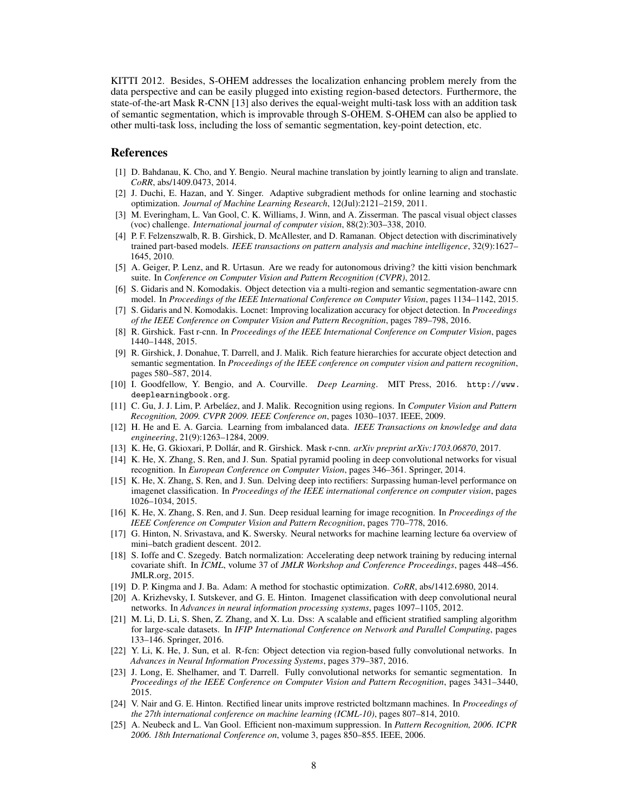KITTI 2012. Besides, S-OHEM addresses the localization enhancing problem merely from the data perspective and can be easily plugged into existing region-based detectors. Furthermore, the state-of-the-art Mask R-CNN [\[13\]](#page-7-8) also derives the equal-weight multi-task loss with an addition task of semantic segmentation, which is improvable through S-OHEM. S-OHEM can also be applied to other multi-task loss, including the loss of semantic segmentation, key-point detection, etc.

### References

- <span id="page-7-20"></span>[1] D. Bahdanau, K. Cho, and Y. Bengio. Neural machine translation by jointly learning to align and translate. *CoRR*, abs/1409.0473, 2014.
- <span id="page-7-16"></span>[2] J. Duchi, E. Hazan, and Y. Singer. Adaptive subgradient methods for online learning and stochastic optimization. *Journal of Machine Learning Research*, 12(Jul):2121–2159, 2011.
- <span id="page-7-0"></span>[3] M. Everingham, L. Van Gool, C. K. Williams, J. Winn, and A. Zisserman. The pascal visual object classes (voc) challenge. *International journal of computer vision*, 88(2):303–338, 2010.
- <span id="page-7-2"></span>[4] P. F. Felzenszwalb, R. B. Girshick, D. McAllester, and D. Ramanan. Object detection with discriminatively trained part-based models. *IEEE transactions on pattern analysis and machine intelligence*, 32(9):1627– 1645, 2010.
- <span id="page-7-1"></span>[5] A. Geiger, P. Lenz, and R. Urtasun. Are we ready for autonomous driving? the kitti vision benchmark suite. In *Conference on Computer Vision and Pattern Recognition (CVPR)*, 2012.
- <span id="page-7-4"></span>[6] S. Gidaris and N. Komodakis. Object detection via a multi-region and semantic segmentation-aware cnn model. In *Proceedings of the IEEE International Conference on Computer Vision*, pages 1134–1142, 2015.
- <span id="page-7-3"></span>[7] S. Gidaris and N. Komodakis. Locnet: Improving localization accuracy for object detection. In *Proceedings of the IEEE Conference on Computer Vision and Pattern Recognition*, pages 789–798, 2016.
- <span id="page-7-10"></span>[8] R. Girshick. Fast r-cnn. In *Proceedings of the IEEE International Conference on Computer Vision*, pages 1440–1448, 2015.
- <span id="page-7-23"></span>[9] R. Girshick, J. Donahue, T. Darrell, and J. Malik. Rich feature hierarchies for accurate object detection and semantic segmentation. In *Proceedings of the IEEE conference on computer vision and pattern recognition*, pages 580–587, 2014.
- <span id="page-7-5"></span>[10] I. Goodfellow, Y. Bengio, and A. Courville. *Deep Learning*. MIT Press, 2016. [http://www.](http://www.deeplearningbook.org) [deeplearningbook.org](http://www.deeplearningbook.org).
- <span id="page-7-7"></span>[11] C. Gu, J. J. Lim, P. Arbeláez, and J. Malik. Recognition using regions. In *Computer Vision and Pattern Recognition, 2009. CVPR 2009. IEEE Conference on*, pages 1030–1037. IEEE, 2009.
- <span id="page-7-6"></span>[12] H. He and E. A. Garcia. Learning from imbalanced data. *IEEE Transactions on knowledge and data engineering*, 21(9):1263–1284, 2009.
- <span id="page-7-8"></span>[13] K. He, G. Gkioxari, P. Dollár, and R. Girshick. Mask r-cnn. *arXiv preprint arXiv:1703.06870*, 2017.
- <span id="page-7-19"></span>[14] K. He, X. Zhang, S. Ren, and J. Sun. Spatial pyramid pooling in deep convolutional networks for visual recognition. In *European Conference on Computer Vision*, pages 346–361. Springer, 2014.
- <span id="page-7-14"></span>[15] K. He, X. Zhang, S. Ren, and J. Sun. Delving deep into rectifiers: Surpassing human-level performance on imagenet classification. In *Proceedings of the IEEE international conference on computer vision*, pages 1026–1034, 2015.
- <span id="page-7-12"></span>[16] K. He, X. Zhang, S. Ren, and J. Sun. Deep residual learning for image recognition. In *Proceedings of the IEEE Conference on Computer Vision and Pattern Recognition*, pages 770–778, 2016.
- <span id="page-7-17"></span>[17] G. Hinton, N. Srivastava, and K. Swersky. Neural networks for machine learning lecture 6a overview of mini–batch gradient descent. 2012.
- <span id="page-7-15"></span>[18] S. Ioffe and C. Szegedy. Batch normalization: Accelerating deep network training by reducing internal covariate shift. In *ICML*, volume 37 of *JMLR Workshop and Conference Proceedings*, pages 448–456. JMLR.org, 2015.
- <span id="page-7-18"></span>[19] D. P. Kingma and J. Ba. Adam: A method for stochastic optimization. *CoRR*, abs/1412.6980, 2014.
- <span id="page-7-11"></span>[20] A. Krizhevsky, I. Sutskever, and G. E. Hinton. Imagenet classification with deep convolutional neural networks. In *Advances in neural information processing systems*, pages 1097–1105, 2012.
- <span id="page-7-9"></span>[21] M. Li, D. Li, S. Shen, Z. Zhang, and X. Lu. Dss: A scalable and efficient stratified sampling algorithm for large-scale datasets. In *IFIP International Conference on Network and Parallel Computing*, pages 133–146. Springer, 2016.
- <span id="page-7-21"></span>[22] Y. Li, K. He, J. Sun, et al. R-fcn: Object detection via region-based fully convolutional networks. In *Advances in Neural Information Processing Systems*, pages 379–387, 2016.
- <span id="page-7-22"></span>[23] J. Long, E. Shelhamer, and T. Darrell. Fully convolutional networks for semantic segmentation. In *Proceedings of the IEEE Conference on Computer Vision and Pattern Recognition*, pages 3431–3440, 2015.
- <span id="page-7-13"></span>[24] V. Nair and G. E. Hinton. Rectified linear units improve restricted boltzmann machines. In *Proceedings of the 27th international conference on machine learning (ICML-10)*, pages 807–814, 2010.
- <span id="page-7-24"></span>[25] A. Neubeck and L. Van Gool. Efficient non-maximum suppression. In *Pattern Recognition, 2006. ICPR 2006. 18th International Conference on*, volume 3, pages 850–855. IEEE, 2006.